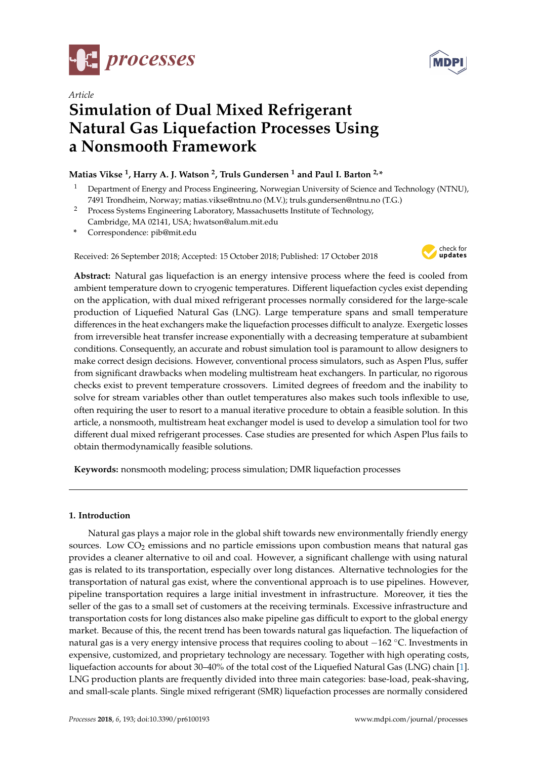



# *Article* **Simulation of Dual Mixed Refrigerant Natural Gas Liquefaction Processes Using a Nonsmooth Framework**

# **Matias Vikse <sup>1</sup> , Harry A. J. Watson <sup>2</sup> , Truls Gundersen <sup>1</sup> and Paul I. Barton 2,\***

- <sup>1</sup> Department of Energy and Process Engineering, Norwegian University of Science and Technology (NTNU), 7491 Trondheim, Norway; matias.vikse@ntnu.no (M.V.); truls.gundersen@ntnu.no (T.G.)
- <sup>2</sup> Process Systems Engineering Laboratory, Massachusetts Institute of Technology, Cambridge, MA 02141, USA; hwatson@alum.mit.edu
- **\*** Correspondence: pib@mit.edu

Received: 26 September 2018; Accepted: 15 October 2018; Published: 17 October 2018



**Abstract:** Natural gas liquefaction is an energy intensive process where the feed is cooled from ambient temperature down to cryogenic temperatures. Different liquefaction cycles exist depending on the application, with dual mixed refrigerant processes normally considered for the large-scale production of Liquefied Natural Gas (LNG). Large temperature spans and small temperature differences in the heat exchangers make the liquefaction processes difficult to analyze. Exergetic losses from irreversible heat transfer increase exponentially with a decreasing temperature at subambient conditions. Consequently, an accurate and robust simulation tool is paramount to allow designers to make correct design decisions. However, conventional process simulators, such as Aspen Plus, suffer from significant drawbacks when modeling multistream heat exchangers. In particular, no rigorous checks exist to prevent temperature crossovers. Limited degrees of freedom and the inability to solve for stream variables other than outlet temperatures also makes such tools inflexible to use, often requiring the user to resort to a manual iterative procedure to obtain a feasible solution. In this article, a nonsmooth, multistream heat exchanger model is used to develop a simulation tool for two different dual mixed refrigerant processes. Case studies are presented for which Aspen Plus fails to obtain thermodynamically feasible solutions.

**Keywords:** nonsmooth modeling; process simulation; DMR liquefaction processes

## **1. Introduction**

Natural gas plays a major role in the global shift towards new environmentally friendly energy sources. Low  $CO<sub>2</sub>$  emissions and no particle emissions upon combustion means that natural gas provides a cleaner alternative to oil and coal. However, a significant challenge with using natural gas is related to its transportation, especially over long distances. Alternative technologies for the transportation of natural gas exist, where the conventional approach is to use pipelines. However, pipeline transportation requires a large initial investment in infrastructure. Moreover, it ties the seller of the gas to a small set of customers at the receiving terminals. Excessive infrastructure and transportation costs for long distances also make pipeline gas difficult to export to the global energy market. Because of this, the recent trend has been towards natural gas liquefaction. The liquefaction of natural gas is a very energy intensive process that requires cooling to about −162 °C. Investments in expensive, customized, and proprietary technology are necessary. Together with high operating costs, liquefaction accounts for about 30–40% of the total cost of the Liquefied Natural Gas (LNG) chain [\[1\]](#page-14-0). LNG production plants are frequently divided into three main categories: base-load, peak-shaving, and small-scale plants. Single mixed refrigerant (SMR) liquefaction processes are normally considered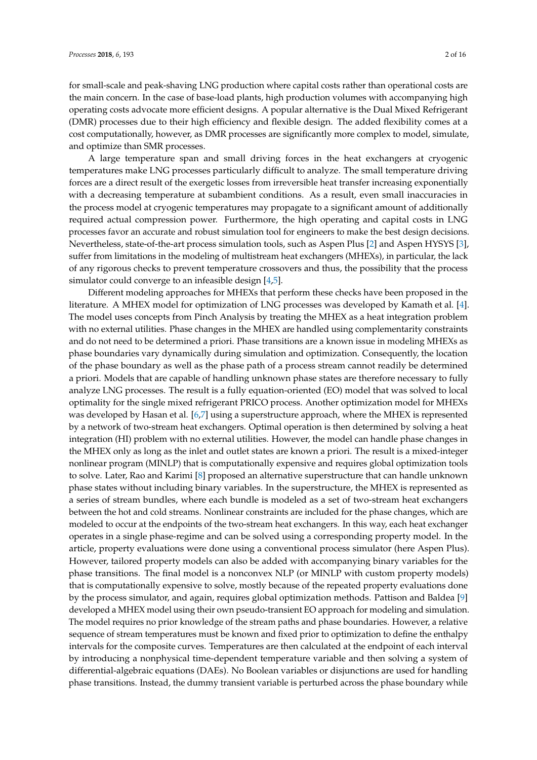for small-scale and peak-shaving LNG production where capital costs rather than operational costs are the main concern. In the case of base-load plants, high production volumes with accompanying high operating costs advocate more efficient designs. A popular alternative is the Dual Mixed Refrigerant (DMR) processes due to their high efficiency and flexible design. The added flexibility comes at a cost computationally, however, as DMR processes are significantly more complex to model, simulate, and optimize than SMR processes.

A large temperature span and small driving forces in the heat exchangers at cryogenic temperatures make LNG processes particularly difficult to analyze. The small temperature driving forces are a direct result of the exergetic losses from irreversible heat transfer increasing exponentially with a decreasing temperature at subambient conditions. As a result, even small inaccuracies in the process model at cryogenic temperatures may propagate to a significant amount of additionally required actual compression power. Furthermore, the high operating and capital costs in LNG processes favor an accurate and robust simulation tool for engineers to make the best design decisions. Nevertheless, state-of-the-art process simulation tools, such as Aspen Plus [\[2\]](#page-14-1) and Aspen HYSYS [\[3\]](#page-14-2), suffer from limitations in the modeling of multistream heat exchangers (MHEXs), in particular, the lack of any rigorous checks to prevent temperature crossovers and thus, the possibility that the process simulator could converge to an infeasible design [\[4,](#page-14-3)[5\]](#page-14-4).

Different modeling approaches for MHEXs that perform these checks have been proposed in the literature. A MHEX model for optimization of LNG processes was developed by Kamath et al. [\[4\]](#page-14-3). The model uses concepts from Pinch Analysis by treating the MHEX as a heat integration problem with no external utilities. Phase changes in the MHEX are handled using complementarity constraints and do not need to be determined a priori. Phase transitions are a known issue in modeling MHEXs as phase boundaries vary dynamically during simulation and optimization. Consequently, the location of the phase boundary as well as the phase path of a process stream cannot readily be determined a priori. Models that are capable of handling unknown phase states are therefore necessary to fully analyze LNG processes. The result is a fully equation-oriented (EO) model that was solved to local optimality for the single mixed refrigerant PRICO process. Another optimization model for MHEXs was developed by Hasan et al. [\[6,](#page-14-5)[7\]](#page-14-6) using a superstructure approach, where the MHEX is represented by a network of two-stream heat exchangers. Optimal operation is then determined by solving a heat integration (HI) problem with no external utilities. However, the model can handle phase changes in the MHEX only as long as the inlet and outlet states are known a priori. The result is a mixed-integer nonlinear program (MINLP) that is computationally expensive and requires global optimization tools to solve. Later, Rao and Karimi [\[8\]](#page-14-7) proposed an alternative superstructure that can handle unknown phase states without including binary variables. In the superstructure, the MHEX is represented as a series of stream bundles, where each bundle is modeled as a set of two-stream heat exchangers between the hot and cold streams. Nonlinear constraints are included for the phase changes, which are modeled to occur at the endpoints of the two-stream heat exchangers. In this way, each heat exchanger operates in a single phase-regime and can be solved using a corresponding property model. In the article, property evaluations were done using a conventional process simulator (here Aspen Plus). However, tailored property models can also be added with accompanying binary variables for the phase transitions. The final model is a nonconvex NLP (or MINLP with custom property models) that is computationally expensive to solve, mostly because of the repeated property evaluations done by the process simulator, and again, requires global optimization methods. Pattison and Baldea [\[9\]](#page-14-8) developed a MHEX model using their own pseudo-transient EO approach for modeling and simulation. The model requires no prior knowledge of the stream paths and phase boundaries. However, a relative sequence of stream temperatures must be known and fixed prior to optimization to define the enthalpy intervals for the composite curves. Temperatures are then calculated at the endpoint of each interval by introducing a nonphysical time-dependent temperature variable and then solving a system of differential-algebraic equations (DAEs). No Boolean variables or disjunctions are used for handling phase transitions. Instead, the dummy transient variable is perturbed across the phase boundary while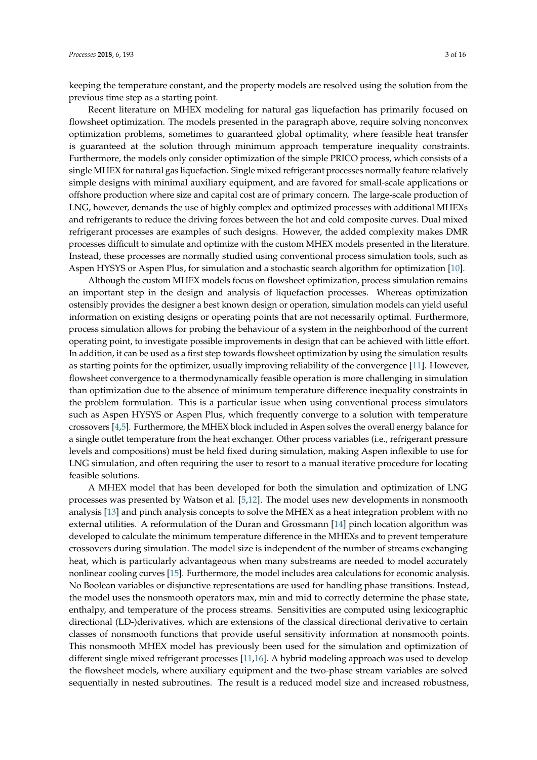keeping the temperature constant, and the property models are resolved using the solution from the previous time step as a starting point.

Recent literature on MHEX modeling for natural gas liquefaction has primarily focused on flowsheet optimization. The models presented in the paragraph above, require solving nonconvex optimization problems, sometimes to guaranteed global optimality, where feasible heat transfer is guaranteed at the solution through minimum approach temperature inequality constraints. Furthermore, the models only consider optimization of the simple PRICO process, which consists of a single MHEX for natural gas liquefaction. Single mixed refrigerant processes normally feature relatively simple designs with minimal auxiliary equipment, and are favored for small-scale applications or offshore production where size and capital cost are of primary concern. The large-scale production of LNG, however, demands the use of highly complex and optimized processes with additional MHEXs and refrigerants to reduce the driving forces between the hot and cold composite curves. Dual mixed refrigerant processes are examples of such designs. However, the added complexity makes DMR processes difficult to simulate and optimize with the custom MHEX models presented in the literature. Instead, these processes are normally studied using conventional process simulation tools, such as Aspen HYSYS or Aspen Plus, for simulation and a stochastic search algorithm for optimization [\[10\]](#page-15-0).

Although the custom MHEX models focus on flowsheet optimization, process simulation remains an important step in the design and analysis of liquefaction processes. Whereas optimization ostensibly provides the designer a best known design or operation, simulation models can yield useful information on existing designs or operating points that are not necessarily optimal. Furthermore, process simulation allows for probing the behaviour of a system in the neighborhood of the current operating point, to investigate possible improvements in design that can be achieved with little effort. In addition, it can be used as a first step towards flowsheet optimization by using the simulation results as starting points for the optimizer, usually improving reliability of the convergence [\[11\]](#page-15-1). However, flowsheet convergence to a thermodynamically feasible operation is more challenging in simulation than optimization due to the absence of minimum temperature difference inequality constraints in the problem formulation. This is a particular issue when using conventional process simulators such as Aspen HYSYS or Aspen Plus, which frequently converge to a solution with temperature crossovers [\[4,](#page-14-3)[5\]](#page-14-4). Furthermore, the MHEX block included in Aspen solves the overall energy balance for a single outlet temperature from the heat exchanger. Other process variables (i.e., refrigerant pressure levels and compositions) must be held fixed during simulation, making Aspen inflexible to use for LNG simulation, and often requiring the user to resort to a manual iterative procedure for locating feasible solutions.

A MHEX model that has been developed for both the simulation and optimization of LNG processes was presented by Watson et al. [\[5,](#page-14-4)[12\]](#page-15-2). The model uses new developments in nonsmooth analysis [\[13\]](#page-15-3) and pinch analysis concepts to solve the MHEX as a heat integration problem with no external utilities. A reformulation of the Duran and Grossmann [\[14\]](#page-15-4) pinch location algorithm was developed to calculate the minimum temperature difference in the MHEXs and to prevent temperature crossovers during simulation. The model size is independent of the number of streams exchanging heat, which is particularly advantageous when many substreams are needed to model accurately nonlinear cooling curves [\[15\]](#page-15-5). Furthermore, the model includes area calculations for economic analysis. No Boolean variables or disjunctive representations are used for handling phase transitions. Instead, the model uses the nonsmooth operators max, min and mid to correctly determine the phase state, enthalpy, and temperature of the process streams. Sensitivities are computed using lexicographic directional (LD-)derivatives, which are extensions of the classical directional derivative to certain classes of nonsmooth functions that provide useful sensitivity information at nonsmooth points. This nonsmooth MHEX model has previously been used for the simulation and optimization of different single mixed refrigerant processes [\[11,](#page-15-1)[16\]](#page-15-6). A hybrid modeling approach was used to develop the flowsheet models, where auxiliary equipment and the two-phase stream variables are solved sequentially in nested subroutines. The result is a reduced model size and increased robustness,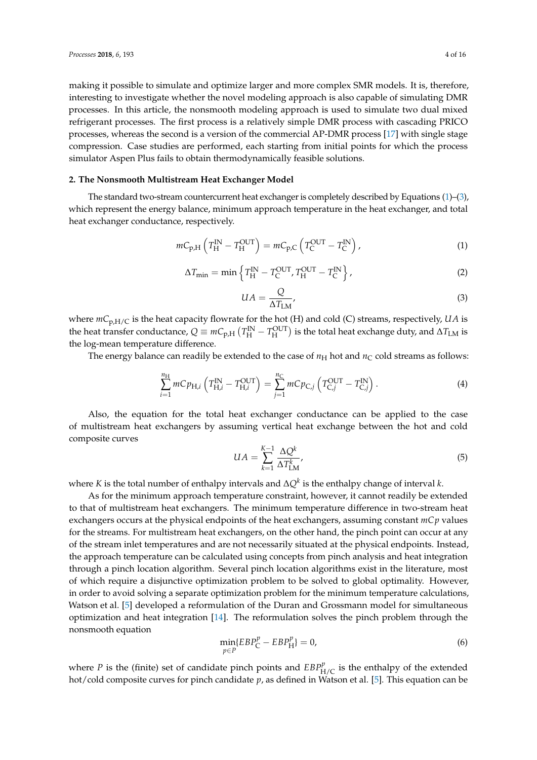making it possible to simulate and optimize larger and more complex SMR models. It is, therefore, interesting to investigate whether the novel modeling approach is also capable of simulating DMR processes. In this article, the nonsmooth modeling approach is used to simulate two dual mixed refrigerant processes. The first process is a relatively simple DMR process with cascading PRICO processes, whereas the second is a version of the commercial AP-DMR process [\[17\]](#page-15-7) with single stage compression. Case studies are performed, each starting from initial points for which the process simulator Aspen Plus fails to obtain thermodynamically feasible solutions.

#### **2. The Nonsmooth Multistream Heat Exchanger Model**

The standard two-stream countercurrent heat exchanger is completely described by Equations [\(1\)](#page-3-0)–[\(3\)](#page-3-1), which represent the energy balance, minimum approach temperature in the heat exchanger, and total heat exchanger conductance, respectively.

<span id="page-3-0"></span>
$$
mC_{p,H}\left(T_H^{\text{IN}} - T_H^{\text{OUT}}\right) = mC_{p,C}\left(T_C^{\text{OUT}} - T_C^{\text{IN}}\right),\tag{1}
$$

$$
\Delta T_{\min} = \min \left\{ T_{\rm H}^{\rm IN} - T_{\rm C}^{\rm OUT}, T_{\rm H}^{\rm OUT} - T_{\rm C}^{\rm IN} \right\},\tag{2}
$$

<span id="page-3-1"></span>
$$
UA = \frac{Q}{\Delta T_{\text{LM}}},\tag{3}
$$

where  $mC_{p,H/C}$  is the heat capacity flowrate for the hot (H) and cold (C) streams, respectively, *UA* is the heat transfer conductance,  $Q \equiv mC_{p,H} (T_H^{\rm IN} - T_H^{\rm OUT})$  is the total heat exchange duty, and  $\Delta T_{\rm LM}$  is the log-mean temperature difference.

The energy balance can readily be extended to the case of  $n_H$  hot and  $n_C$  cold streams as follows:

<span id="page-3-4"></span>
$$
\sum_{i=1}^{n_{\rm H}} mC p_{\rm H,i} \left( T_{\rm H,i}^{\rm IN} - T_{\rm H,i}^{\rm OUT} \right) = \sum_{j=1}^{n_{\rm C}} mC p_{\rm C,j} \left( T_{\rm C,i}^{\rm OUT} - T_{\rm C,i}^{\rm IN} \right). \tag{4}
$$

Also, the equation for the total heat exchanger conductance can be applied to the case of multistream heat exchangers by assuming vertical heat exchange between the hot and cold composite curves

<span id="page-3-3"></span>
$$
UA = \sum_{k=1}^{K-1} \frac{\Delta Q^k}{\Delta T_{\text{LM}}^k},\tag{5}
$$

where *K* is the total number of enthalpy intervals and ∆*Q<sup>k</sup>* is the enthalpy change of interval *k*.

As for the minimum approach temperature constraint, however, it cannot readily be extended to that of multistream heat exchangers. The minimum temperature difference in two-stream heat exchangers occurs at the physical endpoints of the heat exchangers, assuming constant *mCp* values for the streams. For multistream heat exchangers, on the other hand, the pinch point can occur at any of the stream inlet temperatures and are not necessarily situated at the physical endpoints. Instead, the approach temperature can be calculated using concepts from pinch analysis and heat integration through a pinch location algorithm. Several pinch location algorithms exist in the literature, most of which require a disjunctive optimization problem to be solved to global optimality. However, in order to avoid solving a separate optimization problem for the minimum temperature calculations, Watson et al. [\[5\]](#page-14-4) developed a reformulation of the Duran and Grossmann model for simultaneous optimization and heat integration [\[14\]](#page-15-4). The reformulation solves the pinch problem through the nonsmooth equation

<span id="page-3-2"></span>
$$
\min_{p \in P} \{EBP_C^p - EBP_H^p\} = 0,\tag{6}
$$

where *P* is the (finite) set of candidate pinch points and  $EBP_{H/C}^p$  is the enthalpy of the extended hot/cold composite curves for pinch candidate *p*, as defined in Watson et al. [\[5\]](#page-14-4). This equation can be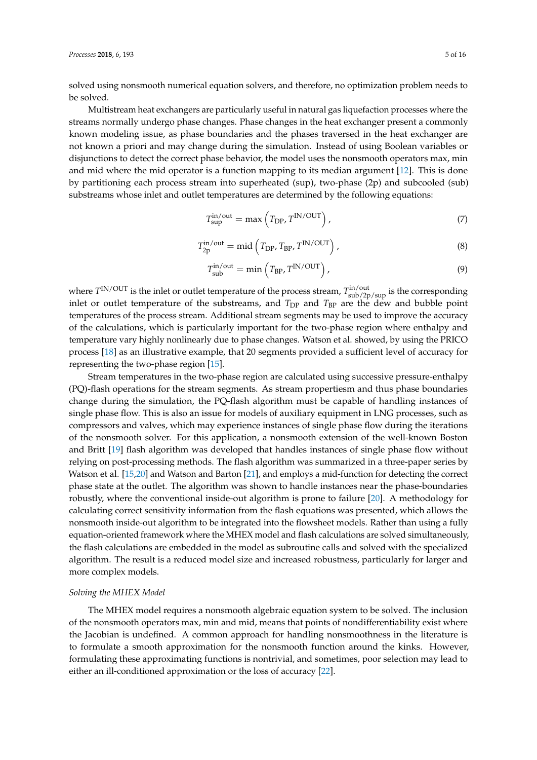solved using nonsmooth numerical equation solvers, and therefore, no optimization problem needs to be solved.

Multistream heat exchangers are particularly useful in natural gas liquefaction processes where the streams normally undergo phase changes. Phase changes in the heat exchanger present a commonly known modeling issue, as phase boundaries and the phases traversed in the heat exchanger are not known a priori and may change during the simulation. Instead of using Boolean variables or disjunctions to detect the correct phase behavior, the model uses the nonsmooth operators max, min and mid where the mid operator is a function mapping to its median argument [\[12\]](#page-15-2). This is done by partitioning each process stream into superheated (sup), two-phase (2p) and subcooled (sub) substreams whose inlet and outlet temperatures are determined by the following equations:

$$
T_{\rm sup}^{\rm in/out} = \max\left(T_{\rm DP}, T^{\rm IN/OUT}\right),\tag{7}
$$

$$
T_{2p}^{\text{in}/\text{out}} = \text{mid}\left(T_{\text{DP}}, T_{\text{BP}}, T^{\text{IN}/\text{OUT}}\right),\tag{8}
$$

$$
T_{\text{sub}}^{\text{in/out}} = \min\left(T_{\text{BP}} \, T^{\text{IN}/\text{OUT}}\right),\tag{9}
$$

where  $T^{IN/OUT}$  is the inlet or outlet temperature of the process stream,  $T^{in/out}_{sub/2p/sup}$  is the corresponding inlet or outlet temperature of the substreams, and  $T_{DP}$  and  $T_{BP}$  are the dew and bubble point temperatures of the process stream. Additional stream segments may be used to improve the accuracy of the calculations, which is particularly important for the two-phase region where enthalpy and temperature vary highly nonlinearly due to phase changes. Watson et al. showed, by using the PRICO process [\[18\]](#page-15-8) as an illustrative example, that 20 segments provided a sufficient level of accuracy for representing the two-phase region [\[15\]](#page-15-5).

Stream temperatures in the two-phase region are calculated using successive pressure-enthalpy (PQ)-flash operations for the stream segments. As stream propertiesm and thus phase boundaries change during the simulation, the PQ-flash algorithm must be capable of handling instances of single phase flow. This is also an issue for models of auxiliary equipment in LNG processes, such as compressors and valves, which may experience instances of single phase flow during the iterations of the nonsmooth solver. For this application, a nonsmooth extension of the well-known Boston and Britt [\[19\]](#page-15-9) flash algorithm was developed that handles instances of single phase flow without relying on post-processing methods. The flash algorithm was summarized in a three-paper series by Watson et al. [\[15,](#page-15-5)[20\]](#page-15-10) and Watson and Barton [\[21\]](#page-15-11), and employs a mid-function for detecting the correct phase state at the outlet. The algorithm was shown to handle instances near the phase-boundaries robustly, where the conventional inside-out algorithm is prone to failure [\[20\]](#page-15-10). A methodology for calculating correct sensitivity information from the flash equations was presented, which allows the nonsmooth inside-out algorithm to be integrated into the flowsheet models. Rather than using a fully equation-oriented framework where the MHEX model and flash calculations are solved simultaneously, the flash calculations are embedded in the model as subroutine calls and solved with the specialized algorithm. The result is a reduced model size and increased robustness, particularly for larger and more complex models.

#### *Solving the MHEX Model*

The MHEX model requires a nonsmooth algebraic equation system to be solved. The inclusion of the nonsmooth operators max, min and mid, means that points of nondifferentiability exist where the Jacobian is undefined. A common approach for handling nonsmoothness in the literature is to formulate a smooth approximation for the nonsmooth function around the kinks. However, formulating these approximating functions is nontrivial, and sometimes, poor selection may lead to either an ill-conditioned approximation or the loss of accuracy [\[22\]](#page-15-12).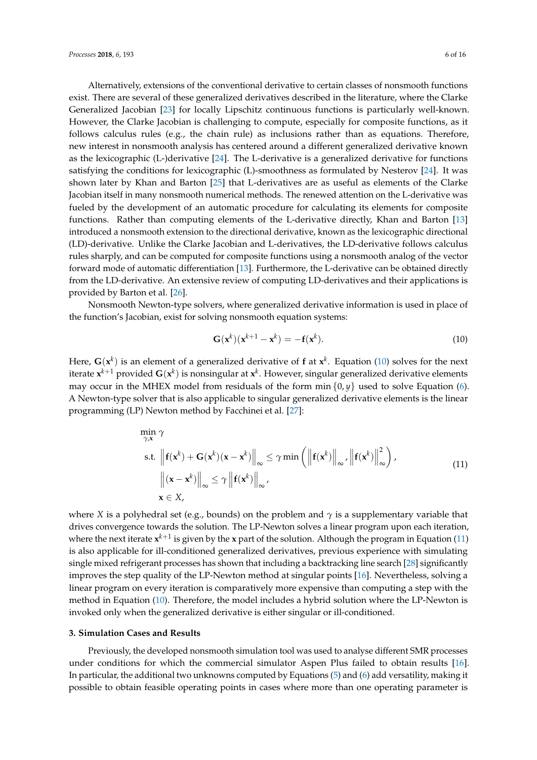Alternatively, extensions of the conventional derivative to certain classes of nonsmooth functions exist. There are several of these generalized derivatives described in the literature, where the Clarke Generalized Jacobian [\[23\]](#page-15-13) for locally Lipschitz continuous functions is particularly well-known. However, the Clarke Jacobian is challenging to compute, especially for composite functions, as it follows calculus rules (e.g., the chain rule) as inclusions rather than as equations. Therefore, new interest in nonsmooth analysis has centered around a different generalized derivative known as the lexicographic (L-)derivative [\[24\]](#page-15-14). The L-derivative is a generalized derivative for functions satisfying the conditions for lexicographic (L)-smoothness as formulated by Nesterov [\[24\]](#page-15-14). It was shown later by Khan and Barton [\[25\]](#page-15-15) that L-derivatives are as useful as elements of the Clarke Jacobian itself in many nonsmooth numerical methods. The renewed attention on the L-derivative was fueled by the development of an automatic procedure for calculating its elements for composite functions. Rather than computing elements of the L-derivative directly, Khan and Barton [\[13\]](#page-15-3) introduced a nonsmooth extension to the directional derivative, known as the lexicographic directional (LD)-derivative. Unlike the Clarke Jacobian and L-derivatives, the LD-derivative follows calculus rules sharply, and can be computed for composite functions using a nonsmooth analog of the vector forward mode of automatic differentiation [\[13\]](#page-15-3). Furthermore, the L-derivative can be obtained directly from the LD-derivative. An extensive review of computing LD-derivatives and their applications is provided by Barton et al. [\[26\]](#page-15-16).

Nonsmooth Newton-type solvers, where generalized derivative information is used in place of the function's Jacobian, exist for solving nonsmooth equation systems:

<span id="page-5-0"></span>
$$
\mathbf{G}(\mathbf{x}^k)(\mathbf{x}^{k+1} - \mathbf{x}^k) = -\mathbf{f}(\mathbf{x}^k). \tag{10}
$$

Here,  $G(x^k)$  is an element of a generalized derivative of f at  $x^k$ . Equation [\(10\)](#page-5-0) solves for the next iterate  $\mathbf{x}^{k+1}$  provided  $\mathbf{G}(\mathbf{x}^k)$  is nonsingular at  $\mathbf{x}^k$ . However, singular generalized derivative elements may occur in the MHEX model from residuals of the form min  $\{0, y\}$  used to solve Equation [\(6\)](#page-3-2). A Newton-type solver that is also applicable to singular generalized derivative elements is the linear programming (LP) Newton method by Facchinei et al. [\[27\]](#page-15-17):

<span id="page-5-1"></span>
$$
\min_{\gamma, \mathbf{x}} \gamma
$$
\ns.t.  $\left\| \mathbf{f}(\mathbf{x}^{k}) + \mathbf{G}(\mathbf{x}^{k})(\mathbf{x} - \mathbf{x}^{k}) \right\|_{\infty} \leq \gamma \min \left( \left\| \mathbf{f}(\mathbf{x}^{k}) \right\|_{\infty}, \left\| \mathbf{f}(\mathbf{x}^{k}) \right\|_{\infty}^{2} \right),$   
\n $\left\| (\mathbf{x} - \mathbf{x}^{k}) \right\|_{\infty} \leq \gamma \left\| \mathbf{f}(\mathbf{x}^{k}) \right\|_{\infty},$   
\n $\mathbf{x} \in X,$  (11)

where *X* is a polyhedral set (e.g., bounds) on the problem and  $\gamma$  is a supplementary variable that drives convergence towards the solution. The LP-Newton solves a linear program upon each iteration, where the next iterate  $x^{k+1}$  is given by the **x** part of the solution. Although the program in Equation [\(11\)](#page-5-1) is also applicable for ill-conditioned generalized derivatives, previous experience with simulating single mixed refrigerant processes has shown that including a backtracking line search [\[28\]](#page-15-18) significantly improves the step quality of the LP-Newton method at singular points [\[16\]](#page-15-6). Nevertheless, solving a linear program on every iteration is comparatively more expensive than computing a step with the method in Equation [\(10\)](#page-5-0). Therefore, the model includes a hybrid solution where the LP-Newton is invoked only when the generalized derivative is either singular or ill-conditioned.

#### **3. Simulation Cases and Results**

Previously, the developed nonsmooth simulation tool was used to analyse different SMR processes under conditions for which the commercial simulator Aspen Plus failed to obtain results [\[16\]](#page-15-6). In particular, the additional two unknowns computed by Equations [\(5\)](#page-3-3) and [\(6\)](#page-3-2) add versatility, making it possible to obtain feasible operating points in cases where more than one operating parameter is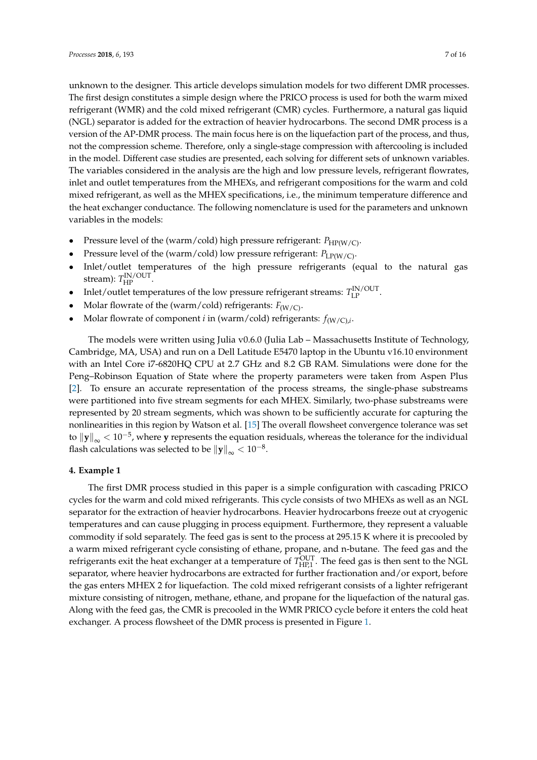unknown to the designer. This article develops simulation models for two different DMR processes. The first design constitutes a simple design where the PRICO process is used for both the warm mixed refrigerant (WMR) and the cold mixed refrigerant (CMR) cycles. Furthermore, a natural gas liquid (NGL) separator is added for the extraction of heavier hydrocarbons. The second DMR process is a version of the AP-DMR process. The main focus here is on the liquefaction part of the process, and thus, not the compression scheme. Therefore, only a single-stage compression with aftercooling is included in the model. Different case studies are presented, each solving for different sets of unknown variables. The variables considered in the analysis are the high and low pressure levels, refrigerant flowrates, inlet and outlet temperatures from the MHEXs, and refrigerant compositions for the warm and cold mixed refrigerant, as well as the MHEX specifications, i.e., the minimum temperature difference and the heat exchanger conductance. The following nomenclature is used for the parameters and unknown variables in the models:

- Pressure level of the (warm/cold) high pressure refrigerant:  $P_{HP(W/C)}$ .
- Pressure level of the (warm/cold) low pressure refrigerant:  $P_{LP(W/C)}$ .
- Inlet/outlet temperatures of the high pressure refrigerants (equal to the natural gas stream):  $T_{\rm HP}^{\rm IN/OUT}$ .
- Inlet/outlet temperatures of the low pressure refrigerant streams:  $T_{\text{LP}}^{\text{IN}/\text{OUT}}$ .
- Molar flowrate of the (warm/cold) refrigerants:  $F_{(W/C)}$ .
- Molar flowrate of component *i* in (warm/cold) refrigerants:  $f_{(W/C),i}$ .

The models were written using Julia v0.6.0 (Julia Lab – Massachusetts Institute of Technology, Cambridge, MA, USA) and run on a Dell Latitude E5470 laptop in the Ubuntu v16.10 environment with an Intel Core i7-6820HQ CPU at 2.7 GHz and 8.2 GB RAM. Simulations were done for the Peng–Robinson Equation of State where the property parameters were taken from Aspen Plus [\[2\]](#page-14-1). To ensure an accurate representation of the process streams, the single-phase substreams were partitioned into five stream segments for each MHEX. Similarly, two-phase substreams were represented by 20 stream segments, which was shown to be sufficiently accurate for capturing the nonlinearities in this region by Watson et al. [\[15\]](#page-15-5) The overall flowsheet convergence tolerance was set to k**y**k<sup>∞</sup> < <sup>10</sup>−<sup>5</sup> , where **y** represents the equation residuals, whereas the tolerance for the individual flash calculations was selected to be  $\|\mathbf{y}\|_{\infty} < 10^{-8}.$ 

#### **4. Example 1**

The first DMR process studied in this paper is a simple configuration with cascading PRICO cycles for the warm and cold mixed refrigerants. This cycle consists of two MHEXs as well as an NGL separator for the extraction of heavier hydrocarbons. Heavier hydrocarbons freeze out at cryogenic temperatures and can cause plugging in process equipment. Furthermore, they represent a valuable commodity if sold separately. The feed gas is sent to the process at 295.15 K where it is precooled by a warm mixed refrigerant cycle consisting of ethane, propane, and n-butane. The feed gas and the refrigerants exit the heat exchanger at a temperature of  $T_{HP,1}^{OUT}$ . The feed gas is then sent to the NGL separator, where heavier hydrocarbons are extracted for further fractionation and/or export, before the gas enters MHEX 2 for liquefaction. The cold mixed refrigerant consists of a lighter refrigerant mixture consisting of nitrogen, methane, ethane, and propane for the liquefaction of the natural gas. Along with the feed gas, the CMR is precooled in the WMR PRICO cycle before it enters the cold heat exchanger. A process flowsheet of the DMR process is presented in Figure [1.](#page-7-0)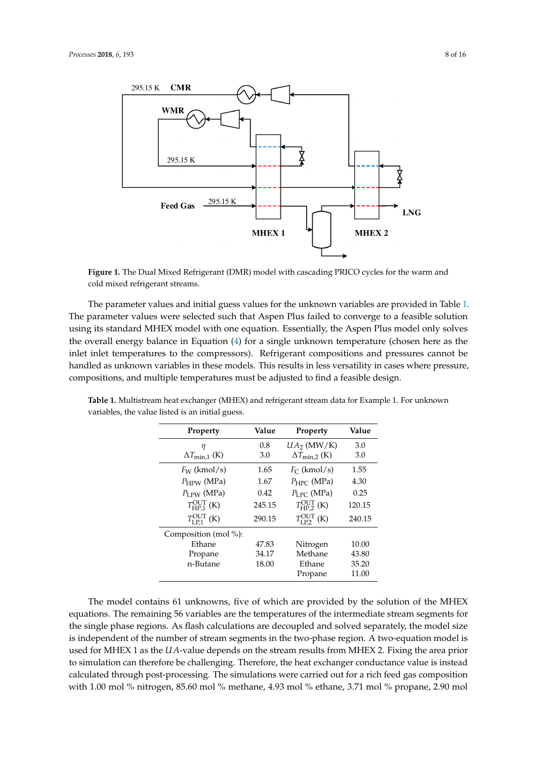<span id="page-7-0"></span>

**Figure 1.** The Dual Mixed Refrigerant (DMR) model with cascading PRICO cycles for the warm and cold mixed refrigerant streams.

The parameter values and initial guess values for the unknown variables are provided in Table [1.](#page-7-1) The parameter values were selected such that Aspen Plus failed to converge to a feasible solution using its standard MHEX model with one equation. Essentially, the Aspen Plus model only solves the overall energy balance in Equation [\(4\)](#page-3-4) for a single unknown temperature (chosen here as the inlet inlet temperatures to the compressors). Refrigerant compositions and pressures cannot be handled as unknown variables in these models. This results in less versatility in cases where pressure, compositions, and multiple temperatures must be adjusted to find a feasible design.

| Property                                  | Value  | Property                           | Value  |
|-------------------------------------------|--------|------------------------------------|--------|
| η                                         | 0.8    | $UA_2$ (MW/K)                      | 3.0    |
| $\Delta T_{\text{min},1}$ (K)             | 3.0    | $\Delta T_{\rm min,2}$ (K)         | 3.0    |
| $F_W$ (kmol/s)                            | 1.65   | $F_C$ (kmol/s)                     | 1.55   |
| $P_{HPW}$ (MPa)                           | 1.67   | $P_{\text{HPC}}$ (MPa)             | 4.30   |
| $P_{\text{LPW}}$ (MPa)                    | 0.42   | $P_{LPC}$ (MPa)                    | 0.25   |
| $T_{\text{HP}.1}^{\text{OUT}}$ (K)        | 245.15 | $T_{\text{HP}.2}^{\text{OUT}}$ (K) | 120.15 |
| $T_{\text{L} \text{P1}}^{\text{OUT}}$ (K) | 290.15 | $T_{LP2}^{\text{OUT}}$ (K)         | 240.15 |
| Composition (mol %):                      |        |                                    |        |
| Ethane                                    | 47.83  | Nitrogen                           | 10.00  |
| Propane                                   | 34.17  | Methane                            | 43.80  |
| n-Butane                                  | 18.00  | Ethane                             | 35.20  |
|                                           |        | Propane                            | 11.00  |

<span id="page-7-1"></span>**Table 1.** Multistream heat exchanger (MHEX) and refrigerant stream data for Example 1. For unknown variables, the value listed is an initial guess.

The model contains 61 unknowns, five of which are provided by the solution of the MHEX equations. The remaining 56 variables are the temperatures of the intermediate stream segments for the single phase regions. As flash calculations are decoupled and solved separately, the model size is independent of the number of stream segments in the two-phase region. A two-equation model is used for MHEX 1 as the *UA*-value depends on the stream results from MHEX 2. Fixing the area prior to simulation can therefore be challenging. Therefore, the heat exchanger conductance value is instead calculated through post-processing. The simulations were carried out for a rich feed gas composition with 1.00 mol % nitrogen, 85.60 mol % methane, 4.93 mol % ethane, 3.71 mol % propane, 2.90 mol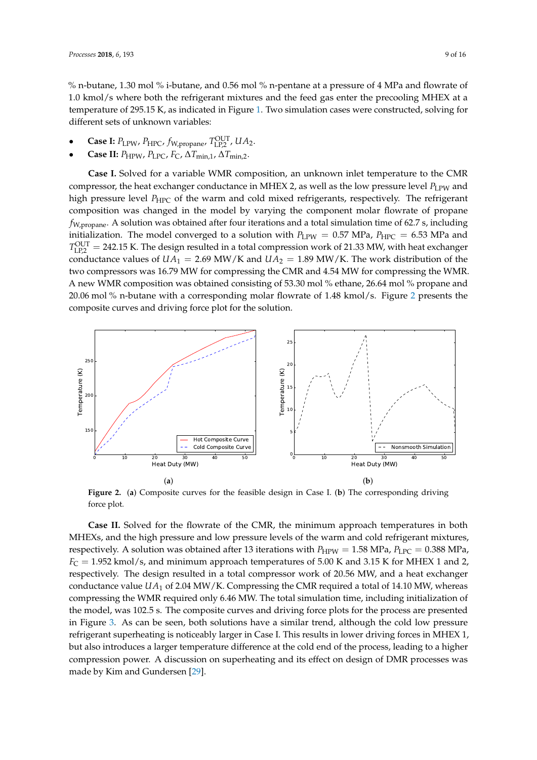% n-butane, 1.30 mol % i-butane, and 0.56 mol % n-pentane at a pressure of 4 MPa and flowrate of 1.0 kmol/s where both the refrigerant mixtures and the feed gas enter the precooling MHEX at a temperature of 295.15 K, as indicated in Figure [1.](#page-7-0) Two simulation cases were constructed, solving for different sets of unknown variables:

- **Case I:**  $P_{\text{LPW}}$ ,  $P_{\text{HPC}}$ ,  $f_{\text{W,propane}}$ ,  $T_{\text{LP},2}^{\text{OUT}}$ ,  $UA_2$ .
- **Case II:**  $P_{HPW}$ ,  $P_{LPC}$ ,  $F_{C}$ ,  $\Delta T_{min,1}$ ,  $\Delta T_{min,2}$ .

**Case I.** Solved for a variable WMR composition, an unknown inlet temperature to the CMR compressor, the heat exchanger conductance in MHEX 2, as well as the low pressure level  $P_{\text{LPW}}$  and high pressure level *P<sub>HPC</sub>* of the warm and cold mixed refrigerants, respectively. The refrigerant composition was changed in the model by varying the component molar flowrate of propane *f*W,propane. A solution was obtained after four iterations and a total simulation time of 62.7 s, including initialization. The model converged to a solution with  $P_{\text{LPW}} = 0.57 \text{ MPa}$ ,  $P_{\text{HPC}} = 6.53 \text{ MPa}$  and  $T_{\text{LP},2}^{\text{OUT}} = 242.15$  K. The design resulted in a total compression work of 21.33 MW, with heat exchanger conductance values of  $UA_1 = 2.69$  MW/K and  $UA_2 = 1.89$  MW/K. The work distribution of the two compressors was 16.79 MW for compressing the CMR and 4.54 MW for compressing the WMR. A new WMR composition was obtained consisting of 53.30 mol % ethane, 26.64 mol % propane and 20.06 mol % n-butane with a corresponding molar flowrate of 1.48 kmol/s. Figure [2](#page-8-0) presents the composite curves and driving force plot for the solution.

<span id="page-8-0"></span>

**Figure 2.** (**a**) Composite curves for the feasible design in Case I. (**b**) The corresponding driving force plot.

**Case II.** Solved for the flowrate of the CMR, the minimum approach temperatures in both MHEXs, and the high pressure and low pressure levels of the warm and cold refrigerant mixtures, respectively. A solution was obtained after 13 iterations with  $P_{HPW} = 1.58$  MPa,  $P_{LPC} = 0.388$  MPa,  $F_C = 1.952$  kmol/s, and minimum approach temperatures of 5.00 K and 3.15 K for MHEX 1 and 2, respectively. The design resulted in a total compressor work of 20.56 MW, and a heat exchanger conductance value *UA*<sup>1</sup> of 2.04 MW/K. Compressing the CMR required a total of 14.10 MW, whereas compressing the WMR required only 6.46 MW. The total simulation time, including initialization of the model, was 102.5 s. The composite curves and driving force plots for the process are presented in Figure [3.](#page-9-0) As can be seen, both solutions have a similar trend, although the cold low pressure refrigerant superheating is noticeably larger in Case I. This results in lower driving forces in MHEX 1, but also introduces a larger temperature difference at the cold end of the process, leading to a higher compression power. A discussion on superheating and its effect on design of DMR processes was made by Kim and Gundersen [\[29\]](#page-15-19).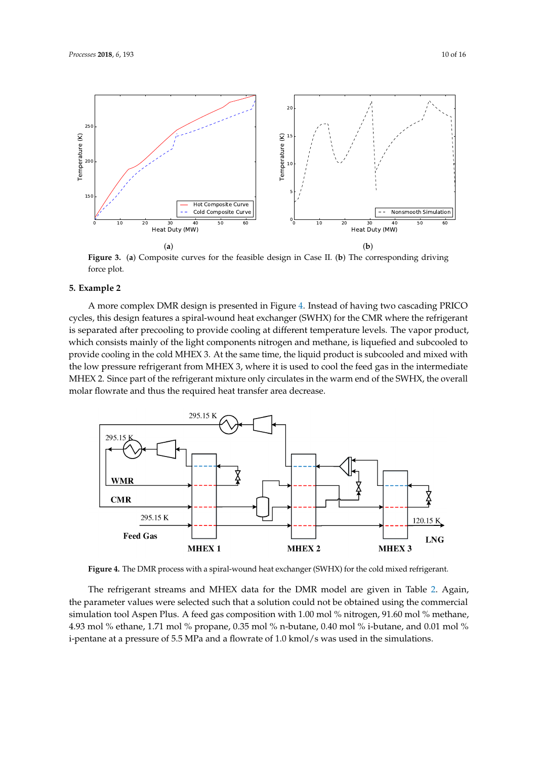

<span id="page-9-0"></span>

**Figure 3.** (**a**) Composite curves for the feasible design in Case II. (**b**) The corresponding driving force plot.

#### **5. Example 2**

A more complex DMR design is presented in Figure [4.](#page-9-1) Instead of having two cascading PRICO cycles, this design features a spiral-wound heat exchanger (SWHX) for the CMR where the refrigerant is separated after precooling to provide cooling at different temperature levels. The vapor product, which consists mainly of the light components nitrogen and methane, is liquefied and subcooled to provide cooling in the cold MHEX 3. At the same time, the liquid product is subcooled and mixed with the low pressure refrigerant from MHEX 3, where it is used to cool the feed gas in the intermediate MHEX 2. Since part of the refrigerant mixture only circulates in the warm end of the SWHX, the overall molar flowrate and thus the required heat transfer area decrease.

<span id="page-9-1"></span>

**Figure 4.** The DMR process with a spiral-wound heat exchanger (SWHX) for the cold mixed refrigerant.

The refrigerant streams and MHEX data for the DMR model are given in Table [2.](#page-10-0) Again, the parameter values were selected such that a solution could not be obtained using the commercial simulation tool Aspen Plus. A feed gas composition with 1.00 mol % nitrogen, 91.60 mol % methane, 4.93 mol % ethane, 1.71 mol % propane, 0.35 mol % n-butane, 0.40 mol % i-butane, and 0.01 mol % i-pentane at a pressure of 5.5 MPa and a flowrate of 1.0 kmol/s was used in the simulations.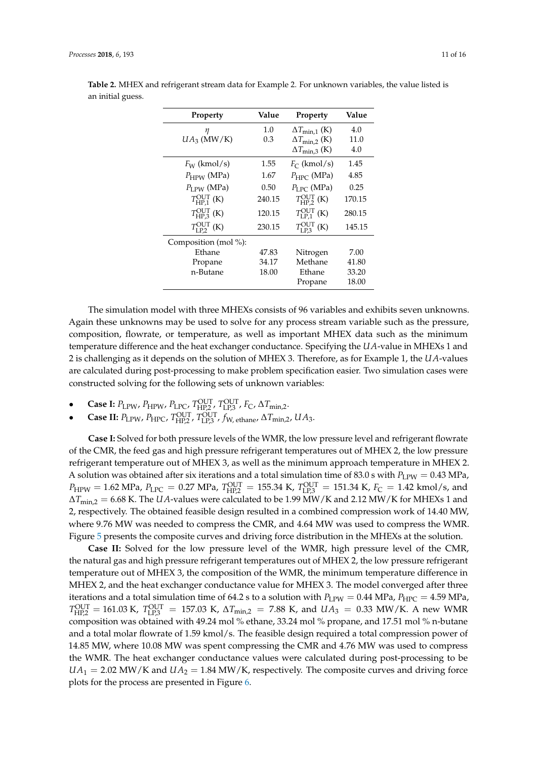| Property                          | Value  | Property                           | Value  |
|-----------------------------------|--------|------------------------------------|--------|
| η                                 | 1.0    | $\Delta T_{\text{min},1}$ (K)      | 4.0    |
| $UA_3$ (MW/K)                     | 0.3    | $\Delta T_{\text{min},2}$ (K)      | 11.0   |
|                                   |        | $\Delta T_{\text{min,3}}$ (K)      | 4.0    |
| $F_W$ (kmol/s)                    | 1.55   | $F_C$ (kmol/s)                     | 1.45   |
| $P_{HPW}$ (MPa)                   | 1.67   | $P_{\text{HPC}}$ (MPa)             | 4.85   |
| $P_{LPW}$ (MPa)                   | 0.50   | $P_{\text{LPC}}$ (MPa)             | 0.25   |
| $T_{\rm HP.1}^{\rm OUT}$ (K)      | 240.15 | $T_{\text{HP}2}^{\text{OUT}}$ (K)  | 170.15 |
| $T_{\text{HP}3}^{\text{OUT}}$ (K) | 120.15 | $T_{\text{LP.1}}^{\text{OUT}}$ (K) | 280.15 |
| $T_{LP2}^{\text{OUT}}$ (K)        | 230.15 | $T_{\text{LP3}}^{\text{OUT}}$ (K)  | 145.15 |
| Composition (mol %):              |        |                                    |        |
| Ethane                            | 47.83  | Nitrogen                           | 7.00   |
| Propane                           | 34.17  | Methane                            | 41.80  |
| n-Butane                          | 18.00  | Ethane                             | 33.20  |
|                                   |        | Propane                            | 18.00  |

<span id="page-10-0"></span>**Table 2.** MHEX and refrigerant stream data for Example 2. For unknown variables, the value listed is an initial guess.

The simulation model with three MHEXs consists of 96 variables and exhibits seven unknowns. Again these unknowns may be used to solve for any process stream variable such as the pressure, composition, flowrate, or temperature, as well as important MHEX data such as the minimum temperature difference and the heat exchanger conductance. Specifying the *UA*-value in MHEXs 1 and 2 is challenging as it depends on the solution of MHEX 3. Therefore, as for Example 1, the *UA*-values are calculated during post-processing to make problem specification easier. Two simulation cases were constructed solving for the following sets of unknown variables:

- **Case I:**  $P_{\text{LPW}}$ ,  $P_{\text{HPW}}$ ,  $P_{\text{LPC}}$ ,  $T_{\text{HP2}}^{\text{OUT}}$ ,  $T_{\text{LP,3}}^{\text{OUT}}$ ,  $F_{\text{C}}$ ,  $\Delta T_{\text{min,2}}$ .
- **Case II:**  $P_{\text{LPW}}$ ,  $P_{\text{HPC}}$ ,  $T_{\text{HP2}}^{\text{OUT}}$ ,  $T_{\text{LP,3}}^{\text{OUT}}$ ,  $f_{\text{W, ethane}}$ ,  $\Delta T_{\text{min,2}}$ ,  $UA_3$ .

**Case I:** Solved for both pressure levels of the WMR, the low pressure level and refrigerant flowrate of the CMR, the feed gas and high pressure refrigerant temperatures out of MHEX 2, the low pressure refrigerant temperature out of MHEX 3, as well as the minimum approach temperature in MHEX 2. A solution was obtained after six iterations and a total simulation time of 83.0 s with  $P_{\text{LPW}} = 0.43 \text{ MPa}$ ,  $P_{\text{HPW}} = 1.62 \text{ MPa}$ ,  $P_{\text{LPC}} = 0.27 \text{ MPa}$ ,  $T_{\text{HP2}}^{\text{OUT}} = 155.34 \text{ K}$ ,  $T_{\text{LP3}}^{\text{OUT}} = 151.34 \text{ K}$ ,  $F_{\text{C}} = 1.42 \text{ kmol/s}$ , and ∆*T*min,2 = 6.68 K. The *UA*-values were calculated to be 1.99 MW/K and 2.12 MW/K for MHEXs 1 and 2, respectively. The obtained feasible design resulted in a combined compression work of 14.40 MW, where 9.76 MW was needed to compress the CMR, and 4.64 MW was used to compress the WMR. Figure [5](#page-11-0) presents the composite curves and driving force distribution in the MHEXs at the solution.

**Case II:** Solved for the low pressure level of the WMR, high pressure level of the CMR, the natural gas and high pressure refrigerant temperatures out of MHEX 2, the low pressure refrigerant temperature out of MHEX 3, the composition of the WMR, the minimum temperature difference in MHEX 2, and the heat exchanger conductance value for MHEX 3. The model converged after three iterations and a total simulation time of 64.2 s to a solution with  $P_{\text{LPW}} = 0.44 \text{ MPa}$ ,  $P_{\text{HPC}} = 4.59 \text{ MPa}$ ,  $T_{\text{HP},2}^{\text{OUT}} = 161.03 \text{ K}$ ,  $T_{\text{LP},3}^{\text{OUT}} = 157.03 \text{ K}$ ,  $\Delta T_{\text{min},2} = 7.88 \text{ K}$ , and  $UA_3 = 0.33 \text{ MW/K}$ . A new WMR composition was obtained with 49.24 mol % ethane, 33.24 mol % propane, and 17.51 mol % n-butane and a total molar flowrate of 1.59 kmol/s. The feasible design required a total compression power of 14.85 MW, where 10.08 MW was spent compressing the CMR and 4.76 MW was used to compress the WMR. The heat exchanger conductance values were calculated during post-processing to be  $UA_1 = 2.02$  MW/K and  $UA_2 = 1.84$  MW/K, respectively. The composite curves and driving force plots for the process are presented in Figure [6.](#page-11-1)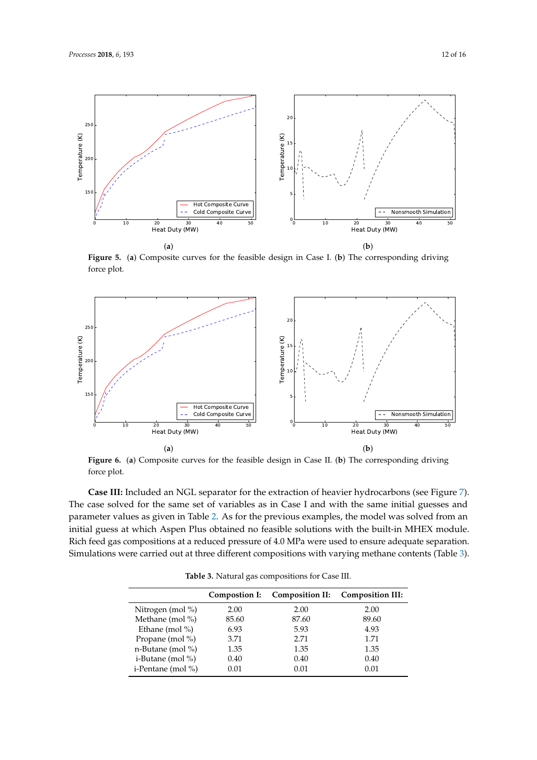<span id="page-11-0"></span>

**Figure 5.** (**a**) Composite curves for the feasible design in Case I. (**b**) The corresponding driving force plot.

<span id="page-11-1"></span>

**Figure 6.** (**a**) Composite curves for the feasible design in Case II. (**b**) The corresponding driving force plot.

**Case III:** Included an NGL separator for the extraction of heavier hydrocarbons (see Figure [7\)](#page-12-0). The case solved for the same set of variables as in Case I and with the same initial guesses and parameter values as given in Table [2.](#page-10-0) As for the previous examples, the model was solved from an initial guess at which Aspen Plus obtained no feasible solutions with the built-in MHEX module. Rich feed gas compositions at a reduced pressure of 4.0 MPa were used to ensure adequate separation. Simulations were carried out at three different compositions with varying methane contents (Table [3\)](#page-11-2).

<span id="page-11-2"></span>

|                       | Compostion I: | Composition II: | <b>Composition III:</b> |
|-----------------------|---------------|-----------------|-------------------------|
| Nitrogen (mol %)      | 2.00          | 2.00            | 2.00                    |
| Methane (mol $\%$ )   | 85.60         | 87.60           | 89.60                   |
| Ethane (mol $\%$ )    | 6.93          | 5.93            | 4.93                    |
| Propane (mol $\%$ )   | 3.71          | 2.71            | 1.71                    |
| n-Butane (mol $\%$ )  | 1.35          | 1.35            | 1.35                    |
| i-Butane (mol $\%$ )  | 0.40          | 0.40            | 0.40                    |
| i-Pentane (mol $\%$ ) | 0.01          | 0.01            | 0.01                    |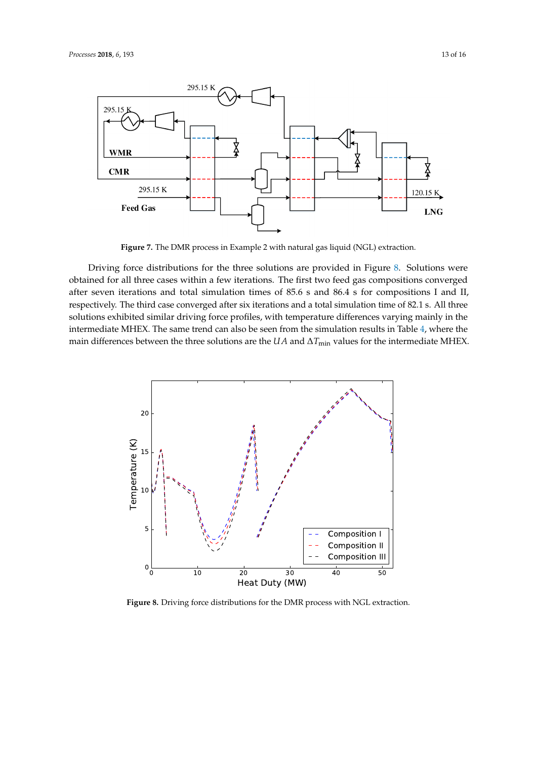<span id="page-12-0"></span>

**Figure 7.** The DMR process in Example 2 with natural gas liquid (NGL) extraction.

Driving force distributions for the three solutions are provided in Figure [8.](#page-12-1) Solutions were obtained for all three cases within a few iterations. The first two feed gas compositions converged after seven iterations and total simulation times of 85.6 s and 86.4 s for compositions I and II, respectively. The third case converged after six iterations and a total simulation time of 82.1 s. All three solutions exhibited similar driving force profiles, with temperature differences varying mainly in the intermediate MHEX. The same trend can also be seen from the simulation results in Table [4,](#page-13-0) where the main differences between the three solutions are the *UA* and ∆*T*<sub>min</sub> values for the intermediate MHEX.

<span id="page-12-1"></span>

**Figure 8.** Driving force distributions for the DMR process with NGL extraction.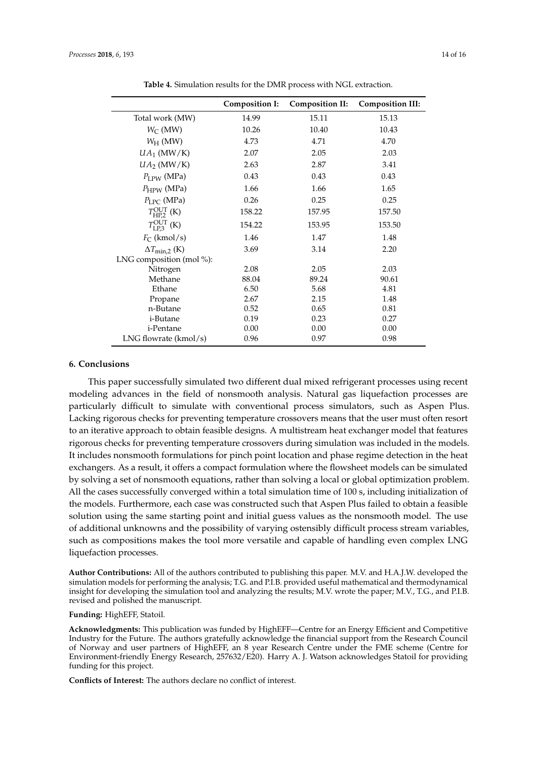<span id="page-13-0"></span>

|                                                        | <b>Composition I:</b> | <b>Composition II:</b> | <b>Composition III:</b> |
|--------------------------------------------------------|-----------------------|------------------------|-------------------------|
| Total work (MW)                                        | 14.99                 | 15.11                  | 15.13                   |
| $W_C$ (MW)                                             | 10.26                 | 10.40                  | 10.43                   |
| $W_H$ (MW)                                             | 4.73                  | 4.71                   | 4.70                    |
| $UA_1$ (MW/K)                                          | 2.07                  | 2.05                   | 2.03                    |
| $UA_2$ (MW/K)                                          | 2.63                  | 2.87                   | 3.41                    |
| $P_{\text{LPW}}\left(\text{MPa}\right)$                | 0.43                  | 0.43                   | 0.43                    |
| $P_{HPW}$ (MPa)                                        | 1.66                  | 1.66                   | 1.65                    |
| $P_{\text{LPC}}$ (MPa)                                 | 0.26                  | 0.25                   | 0.25                    |
| $T_{\text{HP}2}^{\text{OUT}}$ (K)                      | 158.22                | 157.95                 | 157.50                  |
| $T_{\text{LP3}}^{\text{OUT}}$ (K)                      | 154.22                | 153.95                 | 153.50                  |
| $F_C$ (kmol/s)                                         | 1.46                  | 1.47                   | 1.48                    |
| $\Delta T_{\rm min,2}$ (K)<br>LNG composition (mol %): | 3.69                  | 3.14                   | 2.20                    |
| Nitrogen                                               | 2.08                  | 2.05                   | 2.03                    |
| Methane                                                | 88.04                 | 89.24                  | 90.61                   |
| Ethane                                                 | 6.50                  | 5.68                   | 4.81                    |
| Propane                                                | 2.67                  | 2.15                   | 1.48                    |
| n-Butane                                               | 0.52                  | 0.65                   | 0.81                    |
| i-Butane                                               | 0.19                  | 0.23                   | 0.27                    |
| i-Pentane                                              | 0.00                  | 0.00                   | 0.00                    |
| LNG flowrate $(kmol/s)$                                | 0.96                  | 0.97                   | 0.98                    |

**Table 4.** Simulation results for the DMR process with NGL extraction.

#### **6. Conclusions**

This paper successfully simulated two different dual mixed refrigerant processes using recent modeling advances in the field of nonsmooth analysis. Natural gas liquefaction processes are particularly difficult to simulate with conventional process simulators, such as Aspen Plus. Lacking rigorous checks for preventing temperature crossovers means that the user must often resort to an iterative approach to obtain feasible designs. A multistream heat exchanger model that features rigorous checks for preventing temperature crossovers during simulation was included in the models. It includes nonsmooth formulations for pinch point location and phase regime detection in the heat exchangers. As a result, it offers a compact formulation where the flowsheet models can be simulated by solving a set of nonsmooth equations, rather than solving a local or global optimization problem. All the cases successfully converged within a total simulation time of 100 s, including initialization of the models. Furthermore, each case was constructed such that Aspen Plus failed to obtain a feasible solution using the same starting point and initial guess values as the nonsmooth model. The use of additional unknowns and the possibility of varying ostensibly difficult process stream variables, such as compositions makes the tool more versatile and capable of handling even complex LNG liquefaction processes.

**Author Contributions:** All of the authors contributed to publishing this paper. M.V. and H.A.J.W. developed the simulation models for performing the analysis; T.G. and P.I.B. provided useful mathematical and thermodynamical insight for developing the simulation tool and analyzing the results; M.V. wrote the paper; M.V., T.G., and P.I.B. revised and polished the manuscript.

**Funding:** HighEFF, Statoil.

**Acknowledgments:** This publication was funded by HighEFF—Centre for an Energy Efficient and Competitive Industry for the Future. The authors gratefully acknowledge the financial support from the Research Council of Norway and user partners of HighEFF, an 8 year Research Centre under the FME scheme (Centre for Environment-friendly Energy Research, 257632/E20). Harry A. J. Watson acknowledges Statoil for providing funding for this project.

**Conflicts of Interest:** The authors declare no conflict of interest.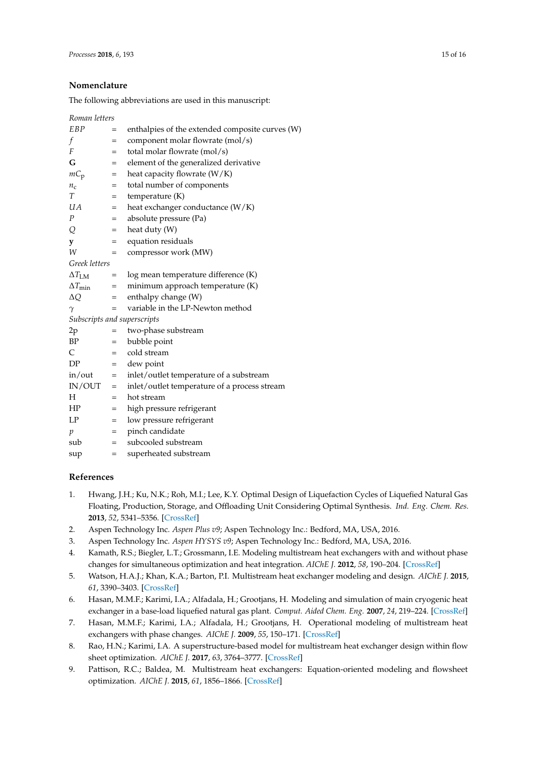## **Nomenclature**

The following abbreviations are used in this manuscript:

| Roman letters           |     |                                                 |
|-------------------------|-----|-------------------------------------------------|
| EBP                     | =   | enthalpies of the extended composite curves (W) |
| f                       | $=$ | component molar flowrate (mol/s)                |
| F                       | $=$ | total molar flowrate (mol/s)                    |
| G                       | =   | element of the generalized derivative           |
| $mC_p$                  | $=$ | heat capacity flowrate (W/K)                    |
| $n_{\rm c}$             | $=$ | total number of components                      |
| T                       | $=$ | temperature (K)                                 |
| UА                      | $=$ | heat exchanger conductance (W/K)                |
| Ρ                       | $=$ | absolute pressure (Pa)                          |
| Q                       | $=$ | heat duty (W)                                   |
| y                       | $=$ | equation residuals                              |
| W                       | $=$ | compressor work (MW)                            |
| Greek letters           |     |                                                 |
| $\Delta T_{\text{LM}}$  | $=$ | log mean temperature difference (K)             |
| $\Delta T_{\text{min}}$ | $=$ | minimum approach temperature (K)                |
| ΔQ                      | $=$ | enthalpy change (W)                             |
| $\gamma$                | $=$ | variable in the LP-Newton method                |
|                         |     | Subscripts and superscripts                     |
| 2p                      | $=$ | two-phase substream                             |
| BP                      | $=$ | bubble point                                    |
| C                       | $=$ | cold stream                                     |
| DP                      | $=$ | dew point                                       |
| in/out                  | $=$ | inlet/outlet temperature of a substream         |
| IN/OUT                  | $=$ | inlet/outlet temperature of a process stream    |
| Н                       | $=$ | hot stream                                      |
| ΗP                      | $=$ | high pressure refrigerant                       |
| LP                      | $=$ | low pressure refrigerant                        |
| p                       | $=$ | pinch candidate                                 |
| sub                     | $=$ | subcooled substream                             |
| sup                     | $=$ | superheated substream                           |

## **References**

- <span id="page-14-0"></span>1. Hwang, J.H.; Ku, N.K.; Roh, M.I.; Lee, K.Y. Optimal Design of Liquefaction Cycles of Liquefied Natural Gas Floating, Production, Storage, and Offloading Unit Considering Optimal Synthesis. *Ind. Eng. Chem. Res.* **2013**, *52*, 5341–5356. [\[CrossRef\]](http://dx.doi.org/10.1021/ie301913b)
- <span id="page-14-1"></span>2. Aspen Technology Inc. *Aspen Plus v9*; Aspen Technology Inc.: Bedford, MA, USA, 2016.
- <span id="page-14-2"></span>3. Aspen Technology Inc. *Aspen HYSYS v9*; Aspen Technology Inc.: Bedford, MA, USA, 2016.
- <span id="page-14-3"></span>4. Kamath, R.S.; Biegler, L.T.; Grossmann, I.E. Modeling multistream heat exchangers with and without phase changes for simultaneous optimization and heat integration. *AIChE J.* **2012**, *58*, 190–204. [\[CrossRef\]](http://dx.doi.org/10.1002/aic.12565)
- <span id="page-14-4"></span>5. Watson, H.A.J.; Khan, K.A.; Barton, P.I. Multistream heat exchanger modeling and design. *AIChE J.* **2015**, *61*, 3390–3403. [\[CrossRef\]](http://dx.doi.org/10.1002/aic.14965)
- <span id="page-14-5"></span>6. Hasan, M.M.F.; Karimi, I.A.; Alfadala, H.; Grootjans, H. Modeling and simulation of main cryogenic heat exchanger in a base-load liquefied natural gas plant. *Comput. Aided Chem. Eng.* **2007**, *24*, 219–224. [\[CrossRef\]](http://dx.doi.org/10.1016/S1570-7946(07)80060-5)
- <span id="page-14-6"></span>7. Hasan, M.M.F.; Karimi, I.A.; Alfadala, H.; Grootjans, H. Operational modeling of multistream heat exchangers with phase changes. *AIChE J.* **2009**, *55*, 150–171. [\[CrossRef\]](http://dx.doi.org/10.1002/aic.11682)
- <span id="page-14-7"></span>8. Rao, H.N.; Karimi, I.A. A superstructure-based model for multistream heat exchanger design within flow sheet optimization. *AIChE J.* **2017**, *63*, 3764–3777. [\[CrossRef\]](http://dx.doi.org/10.1002/aic.15714)
- <span id="page-14-8"></span>9. Pattison, R.C.; Baldea, M. Multistream heat exchangers: Equation-oriented modeling and flowsheet optimization. *AIChE J.* **2015**, *61*, 1856–1866. [\[CrossRef\]](http://dx.doi.org/10.1002/aic.14766)